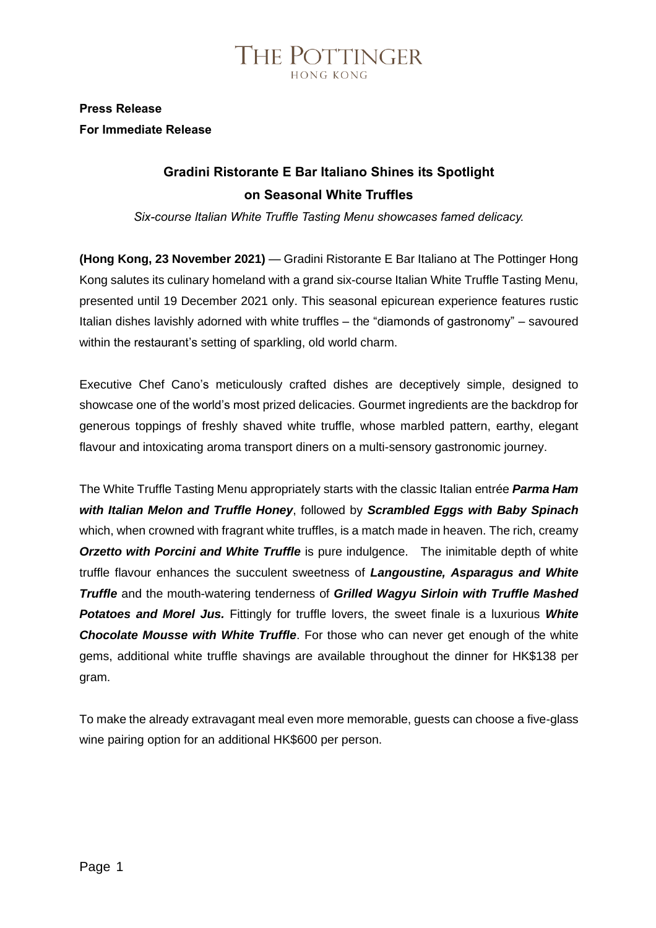

### **Press Release For Immediate Release**

### **Gradini Ristorante E Bar Italiano Shines its Spotlight on Seasonal White Truffles**

*Six-course Italian White Truffle Tasting Menu showcases famed delicacy.*

**(Hong Kong, 23 November 2021)** — Gradini Ristorante E Bar Italiano at The Pottinger Hong Kong salutes its culinary homeland with a grand six-course Italian White Truffle Tasting Menu, presented until 19 December 2021 only. This seasonal epicurean experience features rustic Italian dishes lavishly adorned with white truffles – the "diamonds of gastronomy" – savoured within the restaurant's setting of sparkling, old world charm.

Executive Chef Cano's meticulously crafted dishes are deceptively simple, designed to showcase one of the world's most prized delicacies. Gourmet ingredients are the backdrop for generous toppings of freshly shaved white truffle, whose marbled pattern, earthy, elegant flavour and intoxicating aroma transport diners on a multi-sensory gastronomic journey.

The White Truffle Tasting Menu appropriately starts with the classic Italian entrée *Parma Ham with Italian Melon and Truffle Honey*, followed by *Scrambled Eggs with Baby Spinach* which, when crowned with fragrant white truffles, is a match made in heaven. The rich, creamy *Orzetto with Porcini and White Truffle* is pure indulgence. The inimitable depth of white truffle flavour enhances the succulent sweetness of *Langoustine, Asparagus and White Truffle* and the mouth-watering tenderness of *Grilled Wagyu Sirloin with Truffle Mashed Potatoes and Morel Jus.* Fittingly for truffle lovers, the sweet finale is a luxurious *White Chocolate Mousse with White Truffle*. For those who can never get enough of the white gems, additional white truffle shavings are available throughout the dinner for HK\$138 per gram.

To make the already extravagant meal even more memorable, guests can choose a five-glass wine pairing option for an additional HK\$600 per person.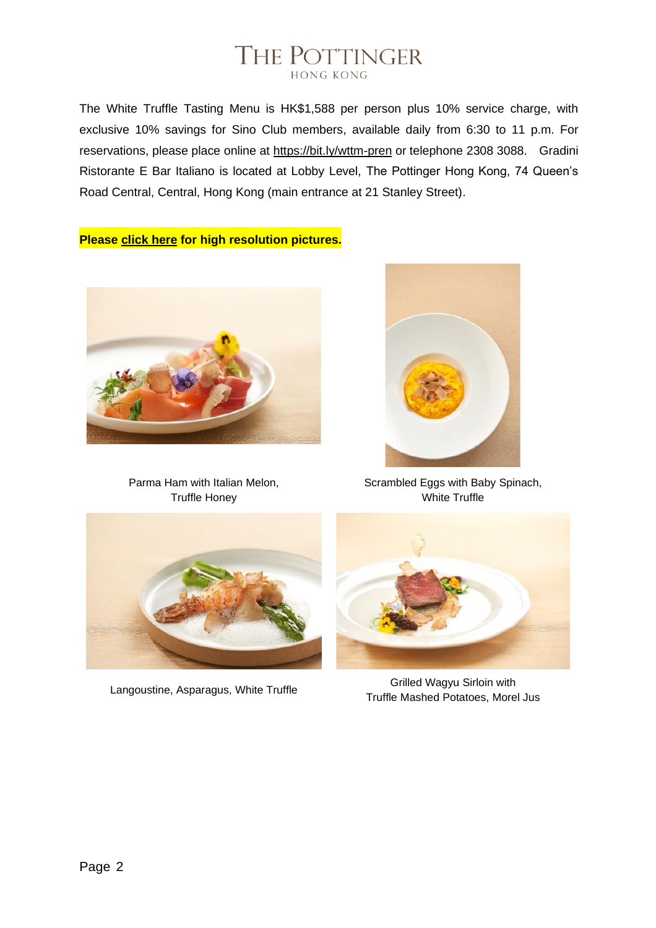## THE POTTINGER **HONG KONG**

The White Truffle Tasting Menu is HK\$1,588 per person plus 10% service charge, with exclusive 10% savings for Sino Club members, available daily from 6:30 to 11 p.m. For reservations, please place online at<https://bit.ly/wttm-pren> or telephone 2308 3088. Gradini Ristorante E Bar Italiano is located at Lobby Level, The Pottinger Hong Kong, 74 Queen's Road Central, Central, Hong Kong (main entrance at 21 Stanley Street).

**Please [click](https://sino365-my.sharepoint.com/:f:/g/personal/h1900146_sinohotels_com/EhLRv5E6KdlFvNvOzNNzn28BANw6N4eh6EQIeFJFtrak1g?e=e8IJll) here for high resolution pictures.**



Parma Ham with Italian Melon, Truffle Honey



Scrambled Eggs with Baby Spinach, White Truffle





Langoustine, Asparagus, White Truffle<br>Truffle Grilled Wagyu Sirloin with Truffle Mashed Potatoes, Morel Jus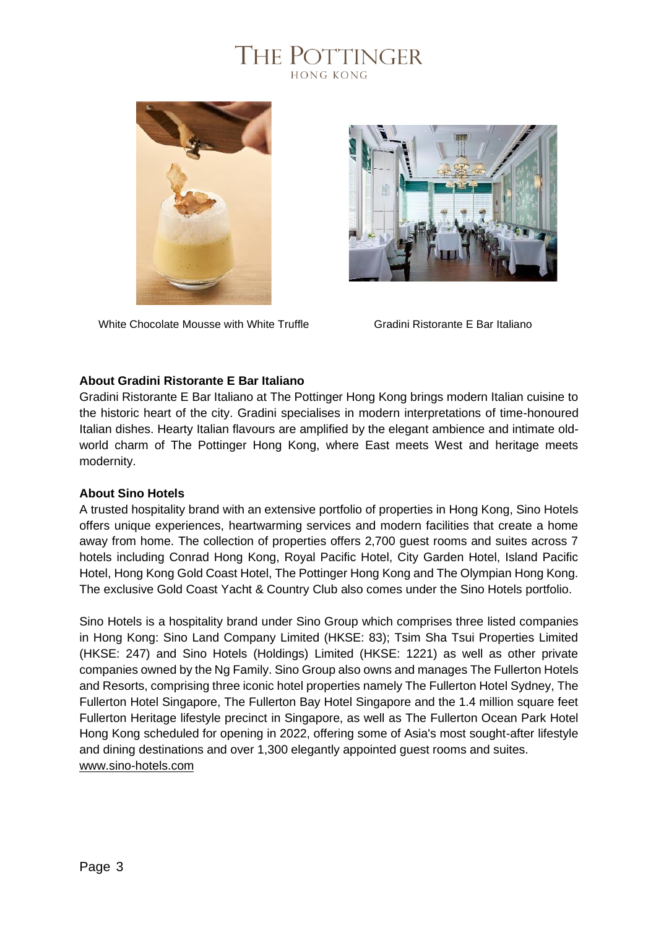



White Chocolate Mousse with White Truffle Gradini Ristorante E Bar Italiano



#### **About Gradini Ristorante E Bar Italiano**

Gradini Ristorante E Bar Italiano at The Pottinger Hong Kong brings modern Italian cuisine to the historic heart of the city. Gradini specialises in modern interpretations of time-honoured Italian dishes. Hearty Italian flavours are amplified by the elegant ambience and intimate oldworld charm of The Pottinger Hong Kong, where East meets West and heritage meets modernity.

#### **About Sino Hotels**

A trusted hospitality brand with an extensive portfolio of properties in Hong Kong, Sino Hotels offers unique experiences, heartwarming services and modern facilities that create a home away from home. The collection of properties offers 2,700 guest rooms and suites across 7 hotels including Conrad Hong Kong, Royal Pacific Hotel, City Garden Hotel, Island Pacific Hotel, Hong Kong Gold Coast Hotel, The Pottinger Hong Kong and The Olympian Hong Kong. The exclusive Gold Coast Yacht & Country Club also comes under the Sino Hotels portfolio.

Sino Hotels is a hospitality brand under Sino Group which comprises three listed companies in Hong Kong: Sino Land Company Limited (HKSE: 83); Tsim Sha Tsui Properties Limited (HKSE: 247) and Sino Hotels (Holdings) Limited (HKSE: 1221) as well as other private companies owned by the Ng Family. Sino Group also owns and manages The Fullerton Hotels and Resorts, comprising three iconic hotel properties namely The Fullerton Hotel Sydney, The Fullerton Hotel Singapore, The Fullerton Bay Hotel Singapore and the 1.4 million square feet Fullerton Heritage lifestyle precinct in Singapore, as well as The Fullerton Ocean Park Hotel Hong Kong scheduled for opening in 2022, offering some of Asia's most sought-after lifestyle and dining destinations and over 1,300 elegantly appointed guest rooms and suites. [www.sino-hotels.com](http://www.sino-hotels.com/)